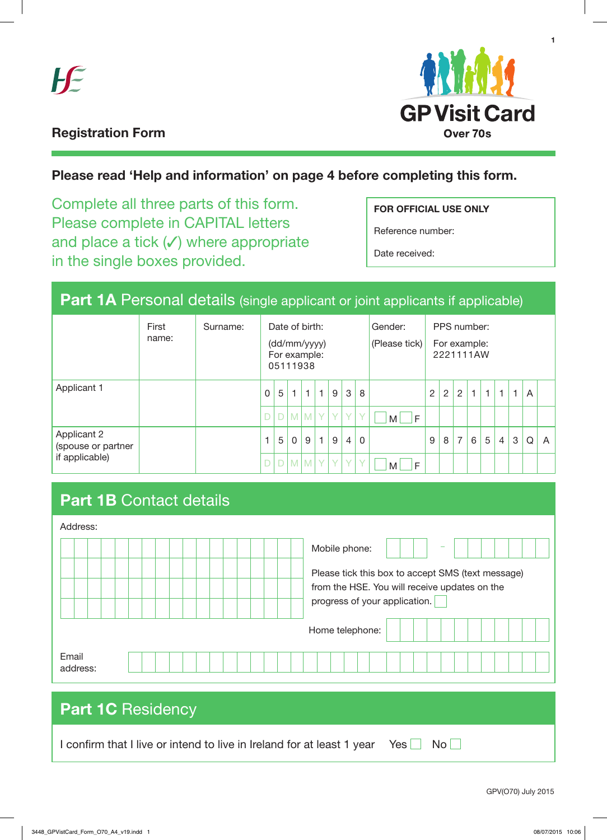



**1**

## **Registration Form**

## **Please read 'Help and information' on page 4 before completing this form.**

Complete all three parts of this form. Please complete in CAPITAL letters and place a tick (√) where appropriate **ARTIGHT INCOCOS** in the single boxes provided.

## **FOR OFFICIAL USE ONLY**

Reference number:

Date received:

# Part 1A Personal details (single applicant or joint applicants if applicable)

|                                                            | First<br>name: | Surname: | Date of birth:<br>(dd/mm/yyyy)<br>For example:<br>05111938 |   |                |              |              |        |                |              | Gender:<br>(Please tick) |   | PPS number:<br>For example:<br>2221111AW |                |   |   |   |   |   |   |
|------------------------------------------------------------|----------------|----------|------------------------------------------------------------|---|----------------|--------------|--------------|--------|----------------|--------------|--------------------------|---|------------------------------------------|----------------|---|---|---|---|---|---|
| Applicant 1                                                |                |          | 0                                                          | 5 | $\mathbf{1}$   | $\mathbf{1}$ | $\mathbf{1}$ | 9      | 3              | 8            |                          | 2 | 2                                        | $\overline{2}$ | 1 | 1 | 1 | 1 | A |   |
|                                                            |                |          |                                                            |   |                | $D$ M M      | Y.           | $\vee$ | $\vee$         | $\checkmark$ | F<br>M                   |   |                                          |                |   |   |   |   |   |   |
| <b>Applicant 2</b><br>(spouse or partner<br>if applicable) |                |          |                                                            | 5 | $\Omega$       | 9            | $\mathbf{1}$ | 9      | $\overline{4}$ | $\mathbf 0$  |                          | 9 | 8                                        | 7              | 6 | 5 | 4 | 3 | Q | A |
|                                                            |                |          |                                                            |   | M <sub>1</sub> | M            | <b>Y</b>     | $\vee$ | <b>V</b>       | $\checkmark$ | F<br>M                   |   |                                          |                |   |   |   |   |   |   |

# Part 1B Contact details

| Address:                                                                             |                                                                                                                                     |  |  |  |  |  |  |
|--------------------------------------------------------------------------------------|-------------------------------------------------------------------------------------------------------------------------------------|--|--|--|--|--|--|
|                                                                                      | Mobile phone:                                                                                                                       |  |  |  |  |  |  |
|                                                                                      | Please tick this box to accept SMS (text message)<br>from the HSE. You will receive updates on the<br>progress of your application. |  |  |  |  |  |  |
|                                                                                      | Home telephone:                                                                                                                     |  |  |  |  |  |  |
| Email<br>address:                                                                    |                                                                                                                                     |  |  |  |  |  |  |
|                                                                                      |                                                                                                                                     |  |  |  |  |  |  |
| <b>Part 1C</b> Residency                                                             |                                                                                                                                     |  |  |  |  |  |  |
| I confirm that I live or intend to live in Ireland for at least 1 year<br>Yes<br>No. |                                                                                                                                     |  |  |  |  |  |  |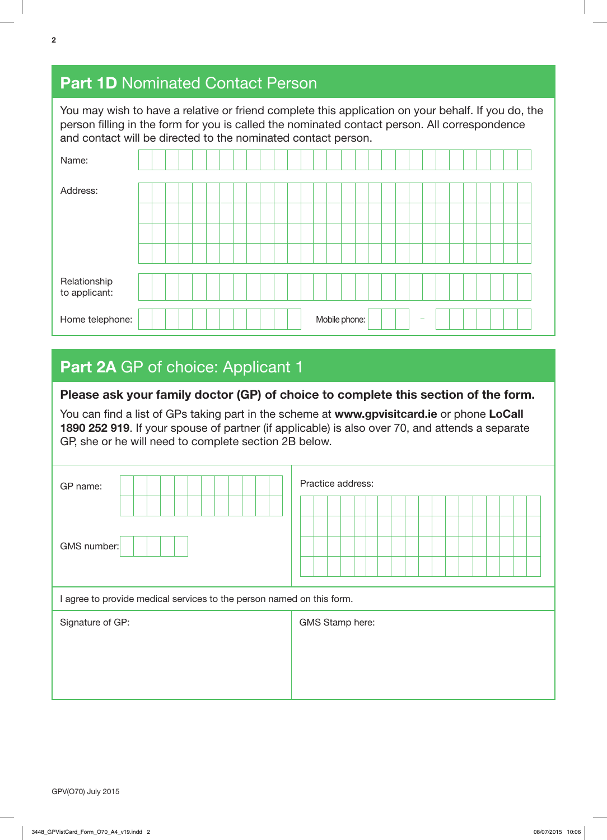# **Part 1D Nominated Contact Person**

You may wish to have a relative or friend complete this application on your behalf. If you do, the person filling in the form for you is called the nominated contact person. All correspondence and contact will be directed to the nominated contact person.

| Name:                         |  |  |  |  |  |  |  |               |  |  |                          |  |  |  |  |
|-------------------------------|--|--|--|--|--|--|--|---------------|--|--|--------------------------|--|--|--|--|
| Address:                      |  |  |  |  |  |  |  |               |  |  |                          |  |  |  |  |
|                               |  |  |  |  |  |  |  |               |  |  |                          |  |  |  |  |
|                               |  |  |  |  |  |  |  |               |  |  |                          |  |  |  |  |
|                               |  |  |  |  |  |  |  |               |  |  |                          |  |  |  |  |
| Relationship<br>to applicant: |  |  |  |  |  |  |  |               |  |  |                          |  |  |  |  |
| Home telephone:               |  |  |  |  |  |  |  | Mobile phone: |  |  | $\overline{\phantom{a}}$ |  |  |  |  |

# Part 2A GP of choice: Applicant 1

### **Please ask your family doctor (GP) of choice to complete this section of the form.**

You can find a list of GPs taking part in the scheme at **www.gpvisitcard.ie** or phone **LoCall 1890 252 919**. If your spouse of partner (if applicable) is also over 70, and attends a separate GP, she or he will need to complete section 2B below.

| GP name:<br>GMS number:                                               | Practice address: |
|-----------------------------------------------------------------------|-------------------|
| I agree to provide medical services to the person named on this form. |                   |
| Signature of GP:                                                      | GMS Stamp here:   |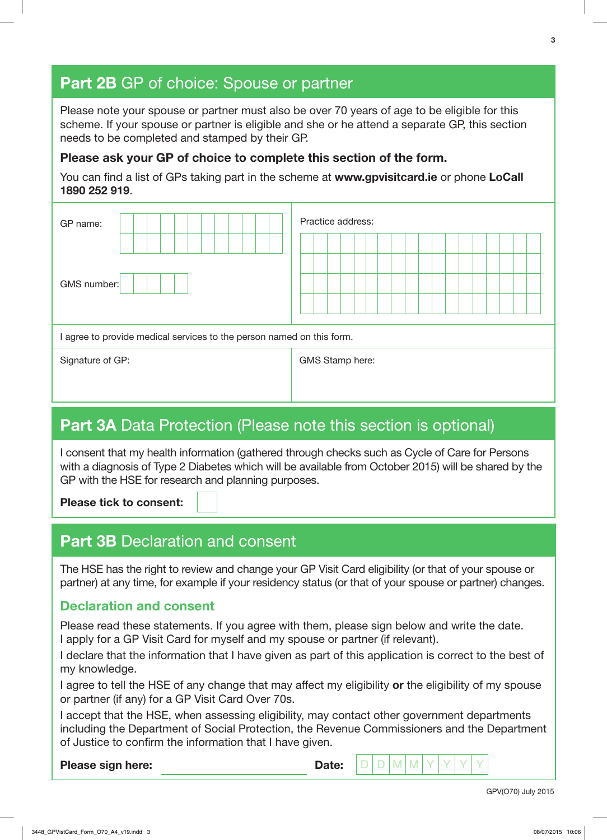# **Part 2B** GP of choice: Spouse or partner

Please note your spouse or partner must also be over 70 years of age to be eligible for this scheme. If your spouse or partner is eligible and she or he attend a separate GP, this section needs to be completed and stamped by their GP.

### **Please ask your GP of choice to complete this section of the form.**

You can find a list of GPs taking part in the scheme at **www.gpvisitcard.ie** or phone **LoCall 1890 252 919**.

| GP name:                                                              | Practice address: |  |  |  |  |  |  |  |  |  |  |  |  |  |
|-----------------------------------------------------------------------|-------------------|--|--|--|--|--|--|--|--|--|--|--|--|--|
|                                                                       |                   |  |  |  |  |  |  |  |  |  |  |  |  |  |
| GMS number:                                                           |                   |  |  |  |  |  |  |  |  |  |  |  |  |  |
| I agree to provide medical services to the person named on this form. |                   |  |  |  |  |  |  |  |  |  |  |  |  |  |
| Signature of GP:                                                      | GMS Stamp here:   |  |  |  |  |  |  |  |  |  |  |  |  |  |

## **Part 3A** Data Protection (Please note this section is optional)

I consent that my health information (gathered through checks such as Cycle of Care for Persons with a diagnosis of Type 2 Diabetes which will be available from October 2015) will be shared by the GP with the HSE for research and planning purposes.

**Please tick to consent:** 

## **Part 3B Declaration and consent**

The HSE has the right to review and change your GP Visit Card eligibility (or that of your spouse or partner) at any time, for example if your residency status (or that of your spouse or partner) changes.

## **Declaration and consent**

Please read these statements. If you agree with them, please sign below and write the date. I apply for a GP Visit Card for myself and my spouse or partner (if relevant).

I declare that the information that I have given as part of this application is correct to the best of my knowledge.

I agree to tell the HSE of any change that may affect my eligibility **or** the eligibility of my spouse or partner (if any) for a GP Visit Card Over 70s.

I accept that the HSE, when assessing eligibility, may contact other government departments including the Department of Social Protection, the Revenue Commissioners and the Department of Justice to confirm the information that I have given.

**Please sign here:** Dete: D D M M

GPV(O70) July 2015